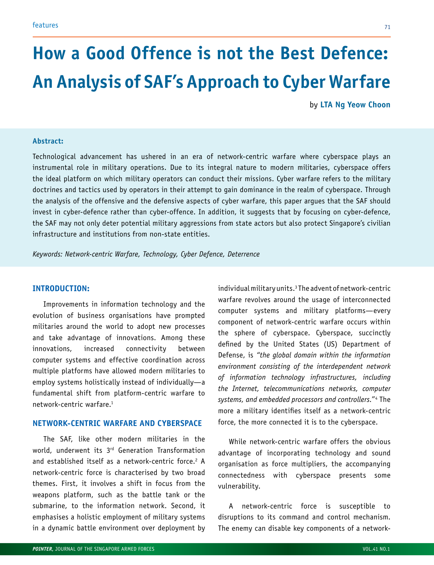# **How a Good Offence is not the Best Defence: An Analysis of SAF's Approach to Cyber Warfare**

by **LTA Ng Yeow Choon**

#### **Abstract:**

Technological advancement has ushered in an era of network-centric warfare where cyberspace plays an instrumental role in military operations. Due to its integral nature to modern militaries, cyberspace offers the ideal platform on which military operators can conduct their missions. Cyber warfare refers to the military doctrines and tactics used by operators in their attempt to gain dominance in the realm of cyberspace. Through the analysis of the offensive and the defensive aspects of cyber warfare, this paper argues that the SAF should invest in cyber-defence rather than cyber-offence. In addition, it suggests that by focusing on cyber-defence, the SAF may not only deter potential military aggressions from state actors but also protect Singapore's civilian infrastructure and institutions from non-state entities.

*Keywords: Network-centric Warfare, Technology, Cyber Defence, Deterrence*

## **INTRODUCTION:**

Improvements in information technology and the evolution of business organisations have prompted militaries around the world to adopt new processes and take advantage of innovations. Among these innovations, increased connectivity between computer systems and effective coordination across multiple platforms have allowed modern militaries to employ systems holistically instead of individually—a fundamental shift from platform-centric warfare to network-centric warfare.1

# **NETWORK-CENTRIC WARFARE AND CYBERSPACE**

The SAF, like other modern militaries in the world, underwent its 3<sup>rd</sup> Generation Transformation and established itself as a network-centric force.<sup>2</sup> A network-centric force is characterised by two broad themes. First, it involves a shift in focus from the weapons platform, such as the battle tank or the submarine, to the information network. Second, it emphasises a holistic employment of military systems in a dynamic battle environment over deployment by

individual military units.3 The advent of network-centric warfare revolves around the usage of interconnected computer systems and military platforms—every component of network-centric warfare occurs within the sphere of cyberspace. Cyberspace, succinctly defined by the United States (US) Department of Defense, is *"the global domain within the information environment consisting of the interdependent network of information technology infrastructures, including the Internet, telecommunications networks, computer systems, and embedded processors and controllers."*<sup>4</sup> The more a military identifies itself as a network-centric force, the more connected it is to the cyberspace.

While network-centric warfare offers the obvious advantage of incorporating technology and sound organisation as force multipliers, the accompanying connectedness with cyberspace presents some vulnerability.

A network-centric force is susceptible to disruptions to its command and control mechanism. The enemy can disable key components of a network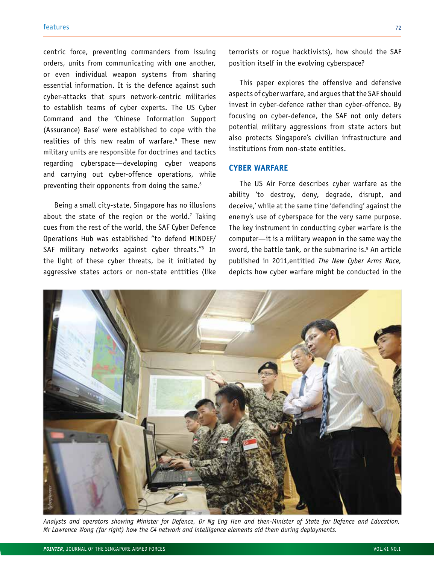centric force, preventing commanders from issuing orders, units from communicating with one another, or even individual weapon systems from sharing essential information. It is the defence against such cyber-attacks that spurs network-centric militaries to establish teams of cyber experts. The US Cyber Command and the 'Chinese Information Support (Assurance) Base' were established to cope with the realities of this new realm of warfare.5 These new military units are responsible for doctrines and tactics regarding cyberspace—developing cyber weapons and carrying out cyber-offence operations, while preventing their opponents from doing the same.<sup>6</sup>

Being a small city-state, Singapore has no illusions about the state of the region or the world.' Taking cues from the rest of the world, the SAF Cyber Defence Operations Hub was established "to defend MINDEF/ SAF military networks against cyber threats."8 In the light of these cyber threats, be it initiated by aggressive states actors or non-state enttities (like

terrorists or rogue hacktivists), how should the SAF position itself in the evolving cyberspace?

This paper explores the offensive and defensive aspects of cyber warfare, and argues that the SAF should invest in cyber-defence rather than cyber-offence. By focusing on cyber-defence, the SAF not only deters potential military aggressions from state actors but also protects Singapore's civilian infrastructure and institutions from non-state entities.

# **CYBER WARFARE**

The US Air Force describes cyber warfare as the ability 'to destroy, deny, degrade, disrupt, and deceive,' while at the same time 'defending' against the enemy's use of cyberspace for the very same purpose. The key instrument in conducting cyber warfare is the computer—it is a military weapon in the same way the sword, the battle tank, or the submarine is.9 An article published in 2011,entitled *The New Cyber Arms Race,* depicts how cyber warfare might be conducted in the



*Analysts and operators showing Minister for Defence, Dr Ng Eng Hen and then-Minister of State for Defence and Education,*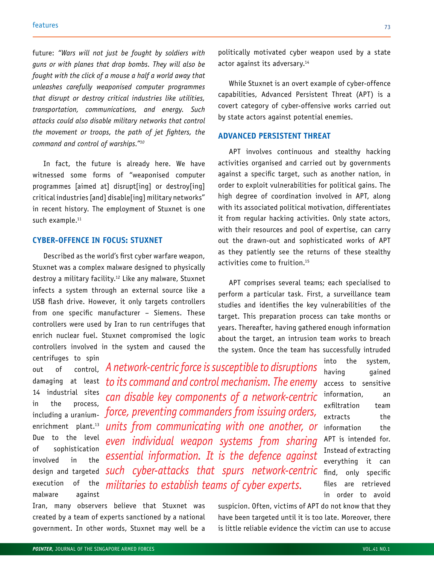future: *"Wars will not just be fought by soldiers with guns or with planes that drop bombs. They will also be fought with the click of a mouse a half a world away that unleashes carefully weaponised computer programmes that disrupt or destroy critical industries like utilities, transportation, communications, and energy. Such attacks could also disable military networks that control the movement or troops, the path of jet fighters, the command and control of warships."10*

In fact, the future is already here. We have witnessed some forms of "weaponised computer programmes [aimed at] disrupt[ing] or destroy[ing] critical industries [and] disable[ing] military networks" in recent history. The employment of Stuxnet is one such example.<sup>11</sup>

## **CYBER-OFFENCE IN FOCUS: STUXNET**

Described as the world's first cyber warfare weapon, Stuxnet was a complex malware designed to physically destroy a military facility.12 Like any malware, Stuxnet infects a system through an external source like a USB flash drive. However, it only targets controllers from one specific manufacturer – Siemens. These controllers were used by Iran to run centrifuges that enrich nuclear fuel. Stuxnet compromised the logic controllers involved in the system and caused the

centrifuges to spin out of control, damaging at least 14 industrial sites in the process, including a uraniumenrichment plant.<sup>13</sup> Due to the level of sophistication involved in the design and targeted execution of the malware against

*A network-centric force is susceptible to disruptions to its command and control mechanism. The enemy can disable key components of a network-centric force, preventing commanders from issuing orders, units from communicating with one another, or even individual weapon systems from sharing essential information. It is the defence against such cyber-attacks that spurs network-centric militaries to establish teams of cyber experts.* 

Iran, many observers believe that Stuxnet was created by a team of experts sanctioned by a national government. In other words, Stuxnet may well be a

politically motivated cyber weapon used by a state actor against its adversary.<sup>14</sup>

While Stuxnet is an overt example of cyber-offence capabilities, Advanced Persistent Threat (APT) is a covert category of cyber-offensive works carried out by state actors against potential enemies.

#### **ADVANCED PERSISTENT THREAT**

APT involves continuous and stealthy hacking activities organised and carried out by governments against a specific target, such as another nation, in order to exploit vulnerabilities for political gains. The high degree of coordination involved in APT, along with its associated political motivation, differentiates it from regular hacking activities. Only state actors, with their resources and pool of expertise, can carry out the drawn-out and sophisticated works of APT as they patiently see the returns of these stealthy activities come to fruition.15

APT comprises several teams; each specialised to perform a particular task. First, a surveillance team studies and identifies the key vulnerabilities of the target. This preparation process can take months or years. Thereafter, having gathered enough information about the target, an intrusion team works to breach the system. Once the team has successfully intruded

> into the system, having gained access to sensitive information, an exfiltration team extracts the information the APT is intended for. Instead of extracting everything it can find, only specific files are retrieved in order to avoid

suspicion. Often, victims of APT do not know that they have been targeted until it is too late. Moreover, there is little reliable evidence the victim can use to accuse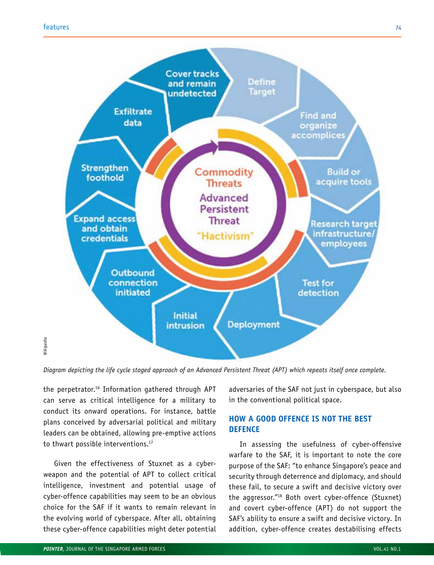

the perpetrator.16 Information gathered through APT can serve as critical intelligence for a military to conduct its onward operations. For instance, battle plans conceived by adversarial political and military leaders can be obtained, allowing pre-emptive actions to thwart possible interventions.<sup>17</sup>

Given the effectiveness of Stuxnet as a cyberweapon and the potential of APT to collect critical intelligence, investment and potential usage of cyber-offence capabilities may seem to be an obvious choice for the SAF if it wants to remain relevant in the evolving world of cyberspace. After all, obtaining these cyber-offence capabilities might deter potential adversaries of the SAF not just in cyberspace, but also in the conventional political space.

# **HOW A GOOD OFFENCE IS NOT THE BEST DEFENCE**

In assessing the usefulness of cyber-offensive warfare to the SAF, it is important to note the core purpose of the SAF: "to enhance Singapore's peace and security through deterrence and diplomacy, and should these fail, to secure a swift and decisive victory over the aggressor."18 Both overt cyber-offence (Stuxnet) and covert cyber-offence (APT) do not support the SAF's ability to ensure a swift and decisive victory. In addition, cyber-offence creates destabilising effects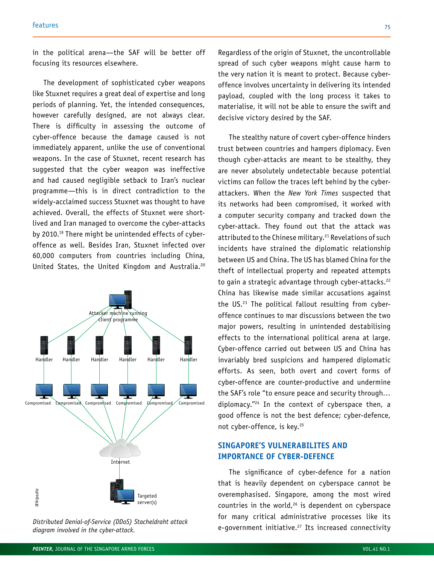in the political arena—the SAF will be better off focusing its resources elsewhere.

The development of sophisticated cyber weapons like Stuxnet requires a great deal of expertise and long periods of planning. Yet, the intended consequences, however carefully designed, are not always clear. There is difficulty in assessing the outcome of cyber-offence because the damage caused is not immediately apparent, unlike the use of conventional weapons. In the case of Stuxnet, recent research has suggested that the cyber weapon was ineffective and had caused negligible setback to Iran's nuclear programme—this is in direct contradiction to the widely-acclaimed success Stuxnet was thought to have achieved. Overall, the effects of Stuxnet were shortlived and Iran managed to overcome the cyber-attacks by 2010.19 There might be unintended effects of cyberoffence as well. Besides Iran, Stuxnet infected over 60,000 computers from countries including China, United States, the United Kingdom and Australia.20



Regardless of the origin of Stuxnet, the uncontrollable spread of such cyber weapons might cause harm to the very nation it is meant to protect. Because cyberoffence involves uncertainty in delivering its intended payload, coupled with the long process it takes to materialise, it will not be able to ensure the swift and decisive victory desired by the SAF.

The stealthy nature of covert cyber-offence hinders trust between countries and hampers diplomacy. Even though cyber-attacks are meant to be stealthy, they are never absolutely undetectable because potential victims can follow the traces left behind by the cyberattackers. When the *New York Times* suspected that its networks had been compromised, it worked with a computer security company and tracked down the cyber-attack. They found out that the attack was attributed to the Chinese military.<sup>21</sup> Revelations of such incidents have strained the diplomatic relationship between US and China. The US has blamed China for the theft of intellectual property and repeated attempts to gain a strategic advantage through cyber-attacks.<sup>22</sup> China has likewise made similar accusations against the US.23 The political fallout resulting from cyberoffence continues to mar discussions between the two major powers, resulting in unintended destabilising effects to the international political arena at large. Cyber-offence carried out between US and China has invariably bred suspicions and hampered diplomatic efforts. As seen, both overt and covert forms of cyber-offence are counter-productive and undermine the SAF's role "to ensure peace and security through… diplomacy."24 In the context of cyberspace then, a good offence is not the best defence; cyber-defence, not cyber-offence, is key.<sup>25</sup>

# **SINGAPORE'S VULNERABILITES AND IMPORTANCE OF CYBER-DEFENCE**

The significance of cyber-defence for a nation that is heavily dependent on cyberspace cannot be overemphasised. Singapore, among the most wired countries in the world, $26$  is dependent on cyberspace for many critical administrative processes like its diagram involved in the cyber-attack.<br> **Distributed Denial-of-Service Connectivity De-government initiative.**<sup>27</sup> Its increased connectivity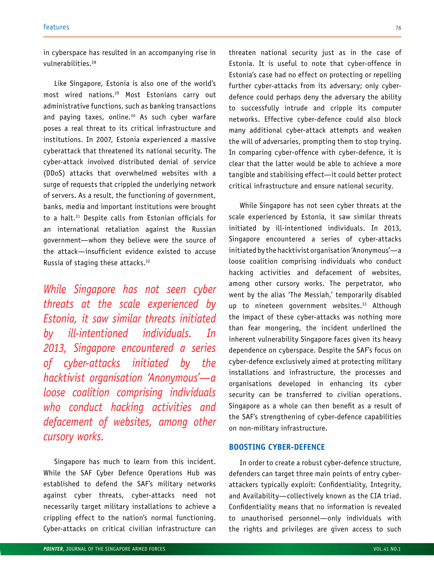in cyberspace has resulted in an accompanying rise in vulnerabilities.28

Like Singapore, Estonia is also one of the world's most wired nations.29 Most Estonians carry out administrative functions, such as banking transactions and paying taxes, online. $30$  As such cyber warfare poses a real threat to its critical infrastructure and institutions. In 2007, Estonia experienced a massive cyberattack that threatened its national security. The cyber-attack involved distributed denial of service (DDoS) attacks that overwhelmed websites with a surge of requests that crippled the underlying network of servers. As a result, the functioning of government, banks, media and important institutions were brought to a halt.<sup>31</sup> Despite calls from Estonian officials for an international retaliation against the Russian government—whom they believe were the source of the attack—insufficient evidence existed to accuse Russia of staging these attacks.32

*While Singapore has not seen cyber threats at the scale experienced by Estonia, it saw similar threats initiated by ill-intentioned individuals. In 2013, Singapore encountered a series of cyber-attacks initiated by the hacktivist organisation 'Anonymous'—a loose coalition comprising individuals who conduct hacking activities and defacement of websites, among other cursory works.* 

Singapore has much to learn from this incident. While the SAF Cyber Defence Operations Hub was established to defend the SAF's military networks against cyber threats, cyber-attacks need not necessarily target military installations to achieve a crippling effect to the nation's normal functioning. Cyber-attacks on critical civilian infrastructure can threaten national security just as in the case of Estonia. It is useful to note that cyber-offence in Estonia's case had no effect on protecting or repelling further cyber-attacks from its adversary; only cyberdefence could perhaps deny the adversary the ability to successfully intrude and cripple its computer networks. Effective cyber-defence could also block many additional cyber-attack attempts and weaken the will of adversaries, prompting them to stop trying. In comparing cyber-offence with cyber-defence, it is clear that the latter would be able to achieve a more tangible and stabilising effect—it could better protect critical infrastructure and ensure national security.

While Singapore has not seen cyber threats at the scale experienced by Estonia, it saw similar threats initiated by ill-intentioned individuals. In 2013, Singapore encountered a series of cyber-attacks initiated by the hacktivist organisation 'Anonymous'—a loose coalition comprising individuals who conduct hacking activities and defacement of websites, among other cursory works. The perpetrator, who went by the alias 'The Messiah,' temporarily disabled up to nineteen government websites.<sup>33</sup> Although the impact of these cyber-attacks was nothing more than fear mongering, the incident underlined the inherent vulnerability Singapore faces given its heavy dependence on cyberspace. Despite the SAF's focus on cyber-defence exclusively aimed at protecting military installations and infrastructure, the processes and organisations developed in enhancing its cyber security can be transferred to civilian operations. Singapore as a whole can then benefit as a result of the SAF's strengthening of cyber-defence capabilities on non-military infrastructure.

## **BOOSTING CYBER-DEFENCE**

In order to create a robust cyber-defence structure, defenders can target three main points of entry cyberattackers typically exploit: Confidentiality, Integrity, and Availability—collectively known as the CIA triad. Confidentiality means that no information is revealed to unauthorised personnel—only individuals with the rights and privileges are given access to such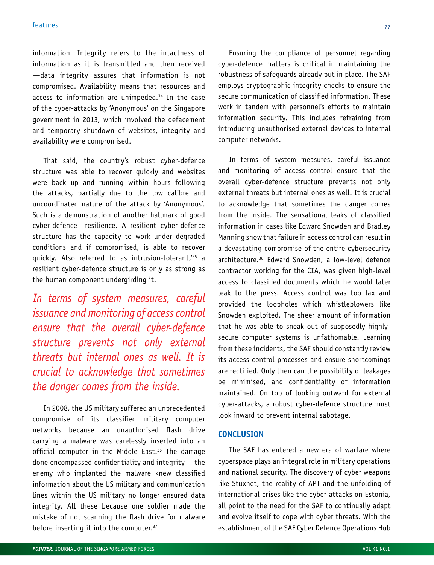information. Integrity refers to the intactness of information as it is transmitted and then received —data integrity assures that information is not compromised. Availability means that resources and access to information are unimpeded.<sup>34</sup> In the case of the cyber-attacks by 'Anonymous' on the Singapore government in 2013, which involved the defacement and temporary shutdown of websites, integrity and availability were compromised.

That said, the country's robust cyber-defence structure was able to recover quickly and websites were back up and running within hours following the attacks, partially due to the low calibre and uncoordinated nature of the attack by 'Anonymous'. Such is a demonstration of another hallmark of good cyber-defence—resilience. A resilient cyber-defence structure has the capacity to work under degraded conditions and if compromised, is able to recover quickly. Also referred to as intrusion-tolerant,<sup>'35</sup> a resilient cyber-defence structure is only as strong as the human component undergirding it.

*In terms of system measures, careful issuance and monitoring of access control ensure that the overall cyber-defence structure prevents not only external threats but internal ones as well. It is crucial to acknowledge that sometimes the danger comes from the inside.* 

In 2008, the US military suffered an unprecedented compromise of its classified military computer networks because an unauthorised flash drive carrying a malware was carelessly inserted into an official computer in the Middle East.<sup>36</sup> The damage done encompassed confidentiality and integrity —the enemy who implanted the malware knew classified information about the US military and communication lines within the US military no longer ensured data integrity. All these because one soldier made the mistake of not scanning the flash drive for malware before inserting it into the computer.37

Ensuring the compliance of personnel regarding cyber-defence matters is critical in maintaining the robustness of safeguards already put in place. The SAF employs cryptographic integrity checks to ensure the secure communication of classified information. These work in tandem with personnel's efforts to maintain information security. This includes refraining from introducing unauthorised external devices to internal computer networks.

In terms of system measures, careful issuance and monitoring of access control ensure that the overall cyber-defence structure prevents not only external threats but internal ones as well. It is crucial to acknowledge that sometimes the danger comes from the inside. The sensational leaks of classified information in cases like Edward Snowden and Bradley Manning show that failure in access control can result in a devastating compromise of the entire cybersecurity architecture.38 Edward Snowden, a low-level defence contractor working for the CIA, was given high-level access to classified documents which he would later leak to the press. Access control was too lax and provided the loopholes which whistleblowers like Snowden exploited. The sheer amount of information that he was able to sneak out of supposedly highlysecure computer systems is unfathomable. Learning from these incidents, the SAF should constantly review its access control processes and ensure shortcomings are rectified. Only then can the possibility of leakages be minimised, and confidentiality of information maintained. On top of looking outward for external cyber-attacks, a robust cyber-defence structure must look inward to prevent internal sabotage.

## **CONCLUSION**

The SAF has entered a new era of warfare where cyberspace plays an integral role in military operations and national security. The discovery of cyber weapons like Stuxnet, the reality of APT and the unfolding of international crises like the cyber-attacks on Estonia, all point to the need for the SAF to continually adapt and evolve itself to cope with cyber threats. With the establishment of the SAF Cyber Defence Operations Hub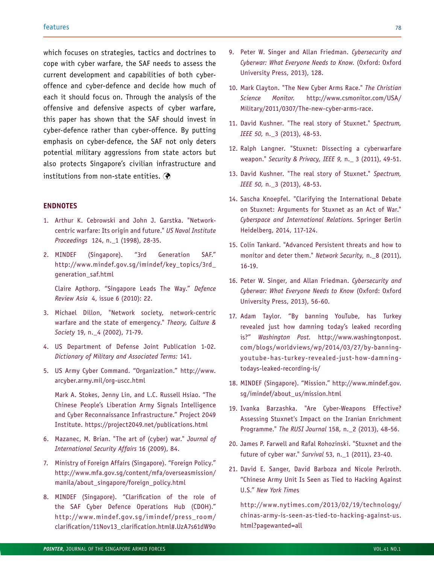which focuses on strategies, tactics and doctrines to cope with cyber warfare, the SAF needs to assess the current development and capabilities of both cyberoffence and cyber-defence and decide how much of each it should focus on. Through the analysis of the offensive and defensive aspects of cyber warfare, this paper has shown that the SAF should invest in cyber-defence rather than cyber-offence. By putting emphasis on cyber-defence, the SAF not only deters potential military aggressions from state actors but also protects Singapore's civilian infrastructure and institutions from non-state entities. (

#### **ENDNOTES**

- 1. Arthur K. Cebrowski and John J. Garstka. "Networkcentric warfare: Its origin and future." *US Naval Institute Proceedings* 124, n.\_1 (1998), 28-35.
- 2. MINDEF (Singapore). "3rd Generation SAF." http://www.mindef.gov.sg/imindef/key\_topics/3rd\_ generation\_saf.html

Claire Apthorp. "Singapore Leads The Way." *Defence Review Asia* 4, issue 6 (2010): 22.

- 3. Michael Dillon, "Network society, network-centric warfare and the state of emergency." *Theory, Culture & Society* 19, n.\_4 (2002), 71-79.
- 4. US Department of Defense Joint Publication 1-02. *Dictionary of Military and Associated Terms:* 141.
- 5. US Army Cyber Command. "Organization." http://www. arcyber.army.mil/org-uscc.html

Mark A. Stokes, Jenny Lin, and L.C. Russell Hsiao. "The Chinese People's Liberation Army Signals Intelligence and Cyber Reconnaissance Infrastructure." Project 2049 Institute. https://project2049.net/publications.html

- 6. Mazanec, M. Brian. "The art of (cyber) war." *Journal of International Security Affairs* 16 (2009), 84.
- 7. Ministry of Foreign Affairs (Singapore). "Foreign Policy." http://www.mfa.gov.sg/content/mfa/overseasmission/ manila/about\_singapore/foreign\_policy.html
- 8. MINDEF (Singapore). "Clarification of the role of the SAF Cyber Defence Operations Hub (CDOH)." http://www.mindef.gov.sg/imindef/press\_room/ clarification/11Nov13\_clarification.html#.UzA7s61dW9o
- 9. Peter W. Singer and Allan Friedman. *Cybersecurity and Cyberwar: What Everyone Needs to Know.* (Oxford: Oxford University Press, 2013), 128.
- 10. Mark Clayton. "The New Cyber Arms Race." *The Christian Science Monitor.* http://www.csmonitor.com/USA/ Military/2011/0307/The-new-cyber-arms-race.
- 11. David Kushner. "The real story of Stuxnet." S*pectrum, IEEE 50,* n.\_3 (2013), 48-53.
- 12. Ralph Langner. "Stuxnet: Dissecting a cyberwarfare weapon." *Security & Privacy, IEEE 9,* n.\_ 3 (2011), 49-51.
- 13. David Kushner. "The real story of Stuxnet." *Spectrum, IEEE 50,* n.\_3 (2013), 48-53.
- 14. Sascha Knoepfel. "Clarifying the International Debate on Stuxnet: Arguments for Stuxnet as an Act of War." *Cyberspace and International Relations.* Springer Berlin Heidelberg, 2014, 117-124.
- 15. Colin Tankard. "Advanced Persistent threats and how to monitor and deter them." *Network Security,* n.\_8 (2011), 16-19.
- 16. Peter W. Singer, and Allan Friedman. *Cybersecurity and Cyberwar: What Everyone Needs to Know* (Oxford: Oxford University Press, 2013), 56-60.
- 17. Adam Taylor. "By banning YouTube, has Turkey revealed just how damning today's leaked recording is?" *Washington Post.* http://www.washingtonpost. com/blogs/worldviews/wp/2014/03/27/by-banningyoutube-has-turkey-revealed-just-how-damningtodays-leaked-recording-is/
- 18. MINDEF (Singapore). "Mission." http://www.mindef.gov. sg/imindef/about\_us/mission.html
- 19. Ivanka Barzashka. "Are Cyber-Weapons Effective? Assessing Stuxnet's Impact on the Iranian Enrichment Programme." *The RUSI Journal* 158, n.\_2 (2013), 48-56.
- 20. James P. Farwell and Rafal Rohozinski. "Stuxnet and the future of cyber war." *Survival* 53, n.\_1 (2011), 23-40.
- 21. David E. Sanger, David Barboza and Nicole Perlroth. "Chinese Army Unit Is Seen as Tied to Hacking Against U.S." *New York Time*s

http://www.nytimes.com/2013/02/19/technology/ chinas-army-is-seen-as-tied-to-hacking-against-us. html?pagewanted=all